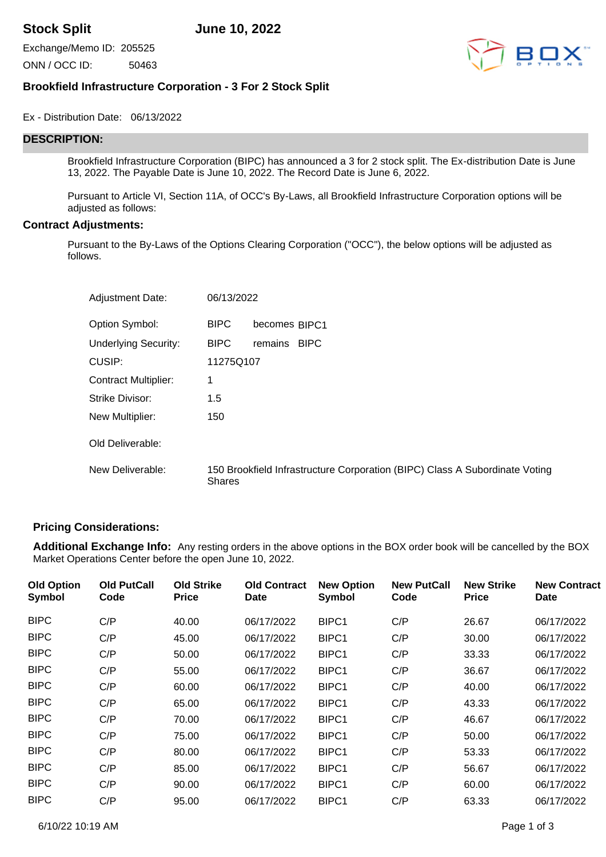**Stock Split June 10, 2022**

Exchange/Memo ID: 205525 ONN / OCC ID: 50463



# **Brookfield Infrastructure Corporation - 3 For 2 Stock Split**

Ex - Distribution Date: 06/13/2022

# **DESCRIPTION:**

Brookfield Infrastructure Corporation (BIPC) has announced a 3 for 2 stock split. The Ex-distribution Date is June 13, 2022. The Payable Date is June 10, 2022. The Record Date is June 6, 2022.

Pursuant to Article VI, Section 11A, of OCC's By-Laws, all Brookfield Infrastructure Corporation options will be adjusted as follows:

#### **Contract Adjustments:**

Pursuant to the By-Laws of the Options Clearing Corporation ("OCC"), the below options will be adjusted as follows.

| <b>Adjustment Date:</b>     | 06/13/2022    |                                                                             |
|-----------------------------|---------------|-----------------------------------------------------------------------------|
| Option Symbol:              | <b>BIPC</b>   | becomes BIPC1                                                               |
| <b>Underlying Security:</b> | <b>BIPC</b>   | <b>BIPC</b><br>remains                                                      |
| CUSIP:                      | 11275Q107     |                                                                             |
| <b>Contract Multiplier:</b> | 1             |                                                                             |
| Strike Divisor:             | 1.5           |                                                                             |
| New Multiplier:             | 150           |                                                                             |
| Old Deliverable:            |               |                                                                             |
| New Deliverable:            | <b>Shares</b> | 150 Brookfield Infrastructure Corporation (BIPC) Class A Subordinate Voting |

### **Pricing Considerations:**

**Additional Exchange Info:** Any resting orders in the above options in the BOX order book will be cancelled by the BOX Market Operations Center before the open June 10, 2022.

| <b>Old Option</b><br>Symbol | <b>Old PutCall</b><br>Code | <b>Old Strike</b><br><b>Price</b> | <b>Old Contract</b><br>Date | <b>New Option</b><br>Symbol | <b>New PutCall</b><br>Code | <b>New Strike</b><br><b>Price</b> | <b>New Contract</b><br><b>Date</b> |
|-----------------------------|----------------------------|-----------------------------------|-----------------------------|-----------------------------|----------------------------|-----------------------------------|------------------------------------|
| <b>BIPC</b>                 | C/P                        | 40.00                             | 06/17/2022                  | BIPC1                       | C/P                        | 26.67                             | 06/17/2022                         |
| <b>BIPC</b>                 | C/P                        | 45.00                             | 06/17/2022                  | BIPC1                       | C/P                        | 30.00                             | 06/17/2022                         |
| <b>BIPC</b>                 | C/P                        | 50.00                             | 06/17/2022                  | BIPC1                       | C/P                        | 33.33                             | 06/17/2022                         |
| <b>BIPC</b>                 | C/P                        | 55.00                             | 06/17/2022                  | BIPC1                       | C/P                        | 36.67                             | 06/17/2022                         |
| <b>BIPC</b>                 | C/P                        | 60.00                             | 06/17/2022                  | BIPC1                       | C/P                        | 40.00                             | 06/17/2022                         |
| <b>BIPC</b>                 | C/P                        | 65.00                             | 06/17/2022                  | BIPC <sub>1</sub>           | C/P                        | 43.33                             | 06/17/2022                         |
| <b>BIPC</b>                 | C/P                        | 70.00                             | 06/17/2022                  | BIPC1                       | C/P                        | 46.67                             | 06/17/2022                         |
| <b>BIPC</b>                 | C/P                        | 75.00                             | 06/17/2022                  | BIPC1                       | C/P                        | 50.00                             | 06/17/2022                         |
| <b>BIPC</b>                 | C/P                        | 80.00                             | 06/17/2022                  | BIPC <sub>1</sub>           | C/P                        | 53.33                             | 06/17/2022                         |
| <b>BIPC</b>                 | C/P                        | 85.00                             | 06/17/2022                  | BIPC1                       | C/P                        | 56.67                             | 06/17/2022                         |
| <b>BIPC</b>                 | C/P                        | 90.00                             | 06/17/2022                  | BIPC1                       | C/P                        | 60.00                             | 06/17/2022                         |
| <b>BIPC</b>                 | C/P                        | 95.00                             | 06/17/2022                  | BIPC1                       | C/P                        | 63.33                             | 06/17/2022                         |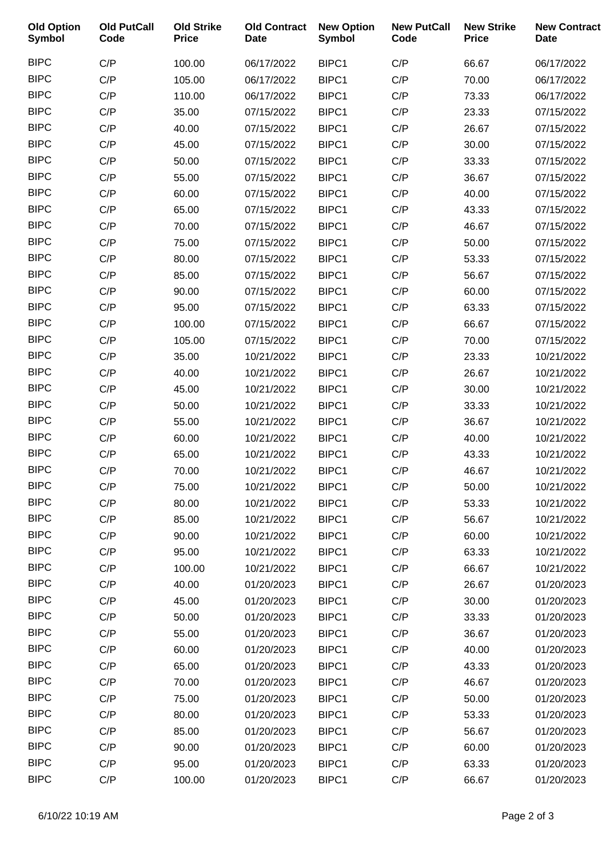| <b>Old Option</b><br><b>Symbol</b> | <b>Old PutCall</b><br>Code | <b>Old Strike</b><br><b>Price</b> | <b>Old Contract</b><br><b>Date</b> | <b>New Option</b><br><b>Symbol</b> | <b>New PutCall</b><br>Code | <b>New Strike</b><br><b>Price</b> | <b>New Contract</b><br><b>Date</b> |
|------------------------------------|----------------------------|-----------------------------------|------------------------------------|------------------------------------|----------------------------|-----------------------------------|------------------------------------|
| <b>BIPC</b>                        | C/P                        | 100.00                            | 06/17/2022                         | BIPC1                              | C/P                        | 66.67                             | 06/17/2022                         |
| <b>BIPC</b>                        | C/P                        | 105.00                            | 06/17/2022                         | BIPC1                              | C/P                        | 70.00                             | 06/17/2022                         |
| <b>BIPC</b>                        | C/P                        | 110.00                            | 06/17/2022                         | BIPC1                              | C/P                        | 73.33                             | 06/17/2022                         |
| <b>BIPC</b>                        | C/P                        | 35.00                             | 07/15/2022                         | BIPC1                              | C/P                        | 23.33                             | 07/15/2022                         |
| <b>BIPC</b>                        | C/P                        | 40.00                             | 07/15/2022                         | BIPC1                              | C/P                        | 26.67                             | 07/15/2022                         |
| <b>BIPC</b>                        | C/P                        | 45.00                             | 07/15/2022                         | BIPC1                              | C/P                        | 30.00                             | 07/15/2022                         |
| <b>BIPC</b>                        | C/P                        | 50.00                             | 07/15/2022                         | BIPC1                              | C/P                        | 33.33                             | 07/15/2022                         |
| <b>BIPC</b>                        | C/P                        | 55.00                             | 07/15/2022                         | BIPC1                              | C/P                        | 36.67                             | 07/15/2022                         |
| <b>BIPC</b>                        | C/P                        | 60.00                             | 07/15/2022                         | BIPC1                              | C/P                        | 40.00                             | 07/15/2022                         |
| <b>BIPC</b>                        | C/P                        | 65.00                             | 07/15/2022                         | BIPC1                              | C/P                        | 43.33                             | 07/15/2022                         |
| <b>BIPC</b>                        | C/P                        | 70.00                             | 07/15/2022                         | BIPC1                              | C/P                        | 46.67                             | 07/15/2022                         |
| <b>BIPC</b>                        | C/P                        | 75.00                             | 07/15/2022                         | BIPC1                              | C/P                        | 50.00                             | 07/15/2022                         |
| <b>BIPC</b>                        | C/P                        | 80.00                             | 07/15/2022                         | BIPC1                              | C/P                        | 53.33                             | 07/15/2022                         |
| <b>BIPC</b>                        | C/P                        | 85.00                             | 07/15/2022                         | BIPC1                              | C/P                        | 56.67                             | 07/15/2022                         |
| <b>BIPC</b>                        | C/P                        | 90.00                             | 07/15/2022                         | BIPC1                              | C/P                        | 60.00                             | 07/15/2022                         |
| <b>BIPC</b>                        | C/P                        | 95.00                             | 07/15/2022                         | BIPC1                              | C/P                        | 63.33                             | 07/15/2022                         |
| <b>BIPC</b>                        | C/P                        | 100.00                            | 07/15/2022                         | BIPC1                              | C/P                        | 66.67                             | 07/15/2022                         |
| <b>BIPC</b>                        | C/P                        | 105.00                            | 07/15/2022                         | BIPC1                              | C/P                        | 70.00                             | 07/15/2022                         |
| <b>BIPC</b>                        | C/P                        | 35.00                             | 10/21/2022                         | BIPC1                              | C/P                        | 23.33                             | 10/21/2022                         |
| <b>BIPC</b>                        | C/P                        | 40.00                             | 10/21/2022                         | BIPC1                              | C/P                        | 26.67                             | 10/21/2022                         |
| <b>BIPC</b>                        | C/P                        | 45.00                             | 10/21/2022                         | BIPC1                              | C/P                        | 30.00                             | 10/21/2022                         |
| <b>BIPC</b>                        | C/P                        | 50.00                             | 10/21/2022                         | BIPC1                              | C/P                        | 33.33                             | 10/21/2022                         |
| <b>BIPC</b>                        | C/P                        | 55.00                             | 10/21/2022                         | BIPC1                              | C/P                        | 36.67                             | 10/21/2022                         |
| <b>BIPC</b>                        | C/P                        | 60.00                             | 10/21/2022                         | BIPC1                              | C/P                        | 40.00                             | 10/21/2022                         |
| <b>BIPC</b>                        | C/P                        | 65.00                             | 10/21/2022                         | BIPC1                              | C/P                        | 43.33                             | 10/21/2022                         |
| <b>BIPC</b>                        | C/P                        | 70.00                             | 10/21/2022                         | BIPC1                              | C/P                        | 46.67                             | 10/21/2022                         |
| <b>BIPC</b>                        | C/P                        | 75.00                             | 10/21/2022                         | BIPC1                              | C/P                        | 50.00                             | 10/21/2022                         |
| <b>BIPC</b>                        | C/P                        | 80.00                             | 10/21/2022                         | BIPC1                              | C/P                        | 53.33                             | 10/21/2022                         |
| <b>BIPC</b>                        | C/P                        | 85.00                             | 10/21/2022                         | BIPC1                              | C/P                        | 56.67                             | 10/21/2022                         |
| <b>BIPC</b>                        | C/P                        | 90.00                             | 10/21/2022                         | BIPC1                              | C/P                        | 60.00                             | 10/21/2022                         |
| <b>BIPC</b>                        | C/P                        | 95.00                             | 10/21/2022                         | BIPC1                              | C/P                        | 63.33                             | 10/21/2022                         |
| <b>BIPC</b>                        | C/P                        | 100.00                            | 10/21/2022                         | BIPC1                              | C/P                        | 66.67                             | 10/21/2022                         |
| <b>BIPC</b>                        | C/P                        | 40.00                             | 01/20/2023                         | BIPC1                              | C/P                        | 26.67                             | 01/20/2023                         |
| <b>BIPC</b>                        | C/P                        | 45.00                             | 01/20/2023                         | BIPC1                              | C/P                        | 30.00                             | 01/20/2023                         |
| <b>BIPC</b>                        | C/P                        | 50.00                             | 01/20/2023                         | BIPC1                              | C/P                        | 33.33                             | 01/20/2023                         |
| <b>BIPC</b>                        | C/P                        | 55.00                             | 01/20/2023                         | BIPC1                              | C/P                        | 36.67                             | 01/20/2023                         |
| <b>BIPC</b>                        | C/P                        | 60.00                             | 01/20/2023                         | BIPC1                              | C/P                        | 40.00                             | 01/20/2023                         |
| <b>BIPC</b>                        | C/P                        | 65.00                             | 01/20/2023                         | BIPC1                              | C/P                        | 43.33                             | 01/20/2023                         |
| <b>BIPC</b>                        | C/P                        | 70.00                             | 01/20/2023                         | BIPC1                              | C/P                        | 46.67                             | 01/20/2023                         |
| <b>BIPC</b>                        | C/P                        | 75.00                             | 01/20/2023                         | BIPC1                              | C/P                        | 50.00                             | 01/20/2023                         |
| <b>BIPC</b>                        | C/P                        | 80.00                             | 01/20/2023                         | BIPC1                              | C/P                        | 53.33                             | 01/20/2023                         |
| <b>BIPC</b>                        | C/P                        | 85.00                             | 01/20/2023                         | BIPC1                              | C/P                        | 56.67                             | 01/20/2023                         |
| <b>BIPC</b>                        | C/P                        | 90.00                             | 01/20/2023                         | BIPC1                              | C/P                        | 60.00                             | 01/20/2023                         |
| <b>BIPC</b>                        | C/P                        | 95.00                             | 01/20/2023                         | BIPC1                              | C/P                        | 63.33                             | 01/20/2023                         |
| <b>BIPC</b>                        | C/P                        | 100.00                            | 01/20/2023                         | BIPC1                              | C/P                        | 66.67                             | 01/20/2023                         |